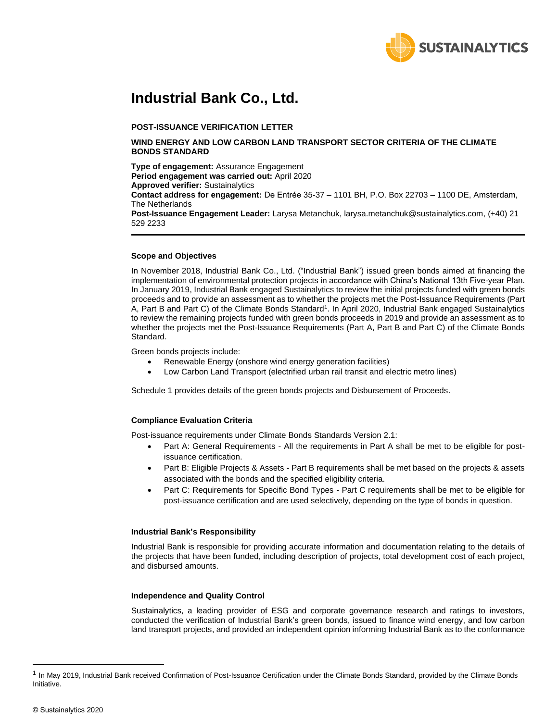

## **Industrial Bank Co., Ltd.**

#### **POST-ISSUANCE VERIFICATION LETTER**

#### **WIND ENERGY AND LOW CARBON LAND TRANSPORT SECTOR CRITERIA OF THE CLIMATE BONDS STANDARD**

**Type of engagement:** Assurance Engagement **Period engagement was carried out:** April 2020 **Approved verifier:** Sustainalytics **Contact address for engagement:** De Entrée 35-37 – 1101 BH, P.O. Box 22703 – 1100 DE, Amsterdam, The Netherlands **Post-Issuance Engagement Leader:** Larysa Metanchuk, larysa.metanchuk@sustainalytics.com, (+40) 21 529 2233

#### **Scope and Objectives**

In November 2018, Industrial Bank Co., Ltd. ("Industrial Bank") issued green bonds aimed at financing the implementation of environmental protection projects in accordance with China's National 13th Five-year Plan. In January 2019, Industrial Bank engaged Sustainalytics to review the initial projects funded with green bonds proceeds and to provide an assessment as to whether the projects met the Post-Issuance Requirements (Part A, Part B and Part C) of the Climate Bonds Standard<sup>1</sup>. In April 2020, Industrial Bank engaged Sustainalytics to review the remaining projects funded with green bonds proceeds in 2019 and provide an assessment as to whether the projects met the Post-Issuance Requirements (Part A, Part B and Part C) of the Climate Bonds Standard.

Green bonds projects include:

- Renewable Energy (onshore wind energy generation facilities)
- Low Carbon Land Transport (electrified urban rail transit and electric metro lines)

Schedule 1 provides details of the green bonds projects and Disbursement of Proceeds.

#### **Compliance Evaluation Criteria**

Post-issuance requirements under Climate Bonds Standards Version 2.1:

- Part A: General Requirements All the requirements in Part A shall be met to be eligible for postissuance certification.
- Part B: Eligible Projects & Assets Part B requirements shall be met based on the projects & assets associated with the bonds and the specified eligibility criteria.
- Part C: Requirements for Specific Bond Types Part C requirements shall be met to be eligible for post-issuance certification and are used selectively, depending on the type of bonds in question.

#### **Industrial Bank's Responsibility**

Industrial Bank is responsible for providing accurate information and documentation relating to the details of the projects that have been funded, including description of projects, total development cost of each project, and disbursed amounts.

#### **Independence and Quality Control**

Sustainalytics, a leading provider of ESG and corporate governance research and ratings to investors, conducted the verification of Industrial Bank's green bonds, issued to finance wind energy, and low carbon land transport projects, and provided an independent opinion informing Industrial Bank as to the conformance

<sup>&</sup>lt;sup>1</sup> In May 2019, Industrial Bank received Confirmation of Post-Issuance Certification under the Climate Bonds Standard, provided by the Climate Bonds Initiative.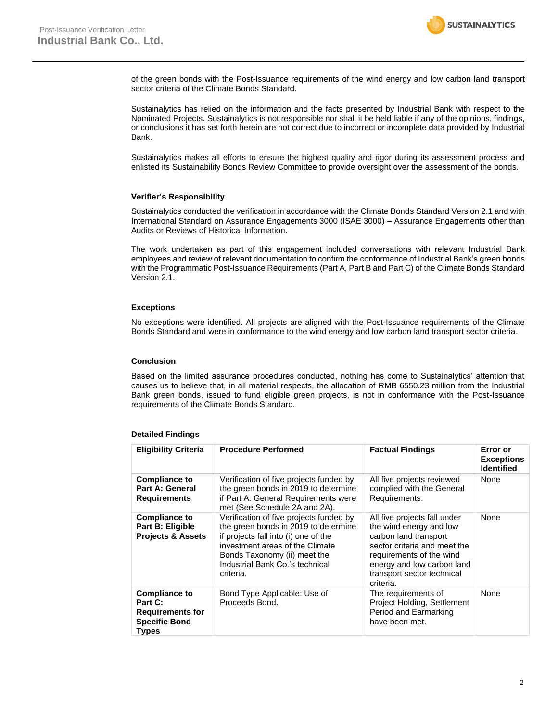

of the green bonds with the Post-Issuance requirements of the wind energy and low carbon land transport sector criteria of the Climate Bonds Standard.

Sustainalytics has relied on the information and the facts presented by Industrial Bank with respect to the Nominated Projects. Sustainalytics is not responsible nor shall it be held liable if any of the opinions, findings, or conclusions it has set forth herein are not correct due to incorrect or incomplete data provided by Industrial Bank.

Sustainalytics makes all efforts to ensure the highest quality and rigor during its assessment process and enlisted its Sustainability Bonds Review Committee to provide oversight over the assessment of the bonds.

#### **Verifier's Responsibility**

Sustainalytics conducted the verification in accordance with the Climate Bonds Standard Version 2.1 and with International Standard on Assurance Engagements 3000 (ISAE 3000) – Assurance Engagements other than Audits or Reviews of Historical Information.

The work undertaken as part of this engagement included conversations with relevant Industrial Bank employees and review of relevant documentation to confirm the conformance of Industrial Bank's green bonds with the Programmatic Post-Issuance Requirements (Part A, Part B and Part C) of the Climate Bonds Standard Version 2.1.

#### **Exceptions**

No exceptions were identified. All projects are aligned with the Post-Issuance requirements of the Climate Bonds Standard and were in conformance to the wind energy and low carbon land transport sector criteria.

#### **Conclusion**

Based on the limited assurance procedures conducted, nothing has come to Sustainalytics' attention that causes us to believe that, in all material respects, the allocation of RMB 6550.23 million from the Industrial Bank green bonds, issued to fund eligible green projects, is not in conformance with the Post-Issuance requirements of the Climate Bonds Standard.

#### **Detailed Findings**

| <b>Eligibility Criteria</b>                                                                 | <b>Procedure Performed</b>                                                                                                                                                                                                                 | <b>Factual Findings</b>                                                                                                                                                                                               | Error or<br><b>Exceptions</b><br><b>Identified</b> |
|---------------------------------------------------------------------------------------------|--------------------------------------------------------------------------------------------------------------------------------------------------------------------------------------------------------------------------------------------|-----------------------------------------------------------------------------------------------------------------------------------------------------------------------------------------------------------------------|----------------------------------------------------|
| <b>Compliance to</b><br>Part A: General<br><b>Requirements</b>                              | Verification of five projects funded by<br>the green bonds in 2019 to determine<br>if Part A: General Requirements were<br>met (See Schedule 2A and 2A).                                                                                   | All five projects reviewed<br>complied with the General<br>Requirements.                                                                                                                                              | None                                               |
| <b>Compliance to</b><br><b>Part B: Eligible</b><br><b>Projects &amp; Assets</b>             | Verification of five projects funded by<br>the green bonds in 2019 to determine<br>if projects fall into (i) one of the<br>investment areas of the Climate<br>Bonds Taxonomy (ii) meet the<br>Industrial Bank Co.'s technical<br>criteria. | All five projects fall under<br>the wind energy and low<br>carbon land transport<br>sector criteria and meet the<br>requirements of the wind<br>energy and low carbon land<br>transport sector technical<br>criteria. | None                                               |
| <b>Compliance to</b><br>Part C:<br><b>Requirements for</b><br><b>Specific Bond</b><br>Types | Bond Type Applicable: Use of<br>Proceeds Bond.                                                                                                                                                                                             | The requirements of<br>Project Holding, Settlement<br>Period and Earmarking<br>have been met.                                                                                                                         | None                                               |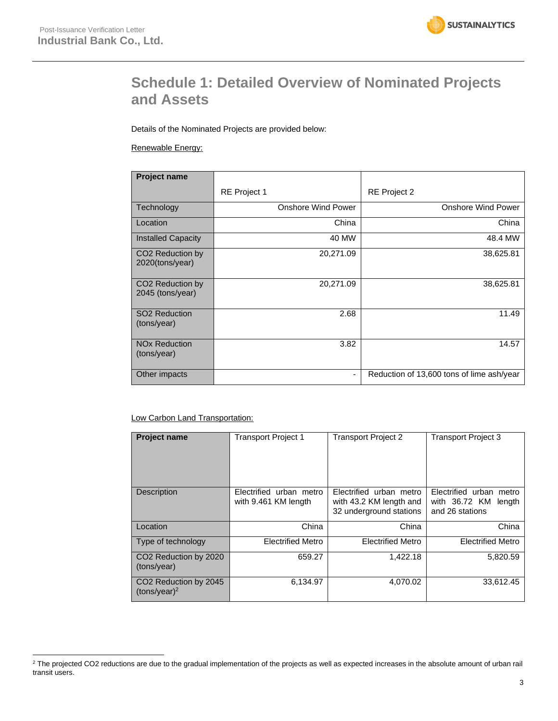

## **Schedule 1: Detailed Overview of Nominated Projects and Assets**

Details of the Nominated Projects are provided below:

#### Renewable Energy:

| Project name                                       |                           |                                           |
|----------------------------------------------------|---------------------------|-------------------------------------------|
|                                                    | RE Project 1              | <b>RE</b> Project 2                       |
| Technology                                         | <b>Onshore Wind Power</b> | <b>Onshore Wind Power</b>                 |
| Location                                           | China                     | China                                     |
| <b>Installed Capacity</b>                          | 40 MW                     | 48.4 MW                                   |
| CO <sub>2</sub> Reduction by<br>2020(tons/year)    | 20,271.09                 | 38,625.81                                 |
| CO <sub>2</sub> Reduction by<br>$2045$ (tons/year) | 20,271.09                 | 38,625.81                                 |
| SO <sub>2</sub> Reduction<br>(tons/year)           | 2.68                      | 11.49                                     |
| <b>NO<sub>x</sub></b> Reduction<br>(tons/year)     | 3.82                      | 14.57                                     |
| Other impacts                                      | $\overline{\phantom{a}}$  | Reduction of 13,600 tons of lime ash/year |

#### Low Carbon Land Transportation:

| <b>Project name</b>                                  | <b>Transport Project 1</b>                      | <b>Transport Project 2</b>                                                    | <b>Transport Project 3</b>                                            |
|------------------------------------------------------|-------------------------------------------------|-------------------------------------------------------------------------------|-----------------------------------------------------------------------|
| <b>Description</b>                                   | Electrified urban metro<br>with 9.461 KM length | Electrified urban metro<br>with 43.2 KM length and<br>32 underground stations | Electrified urban metro<br>with 36.72 KM<br>length<br>and 26 stations |
| Location                                             | China                                           | China                                                                         | China                                                                 |
| Type of technology                                   | <b>Electrified Metro</b>                        | <b>Electrified Metro</b>                                                      | <b>Electrified Metro</b>                                              |
| CO <sub>2</sub> Reduction by 2020<br>(tons/year)     | 659.27                                          | 1.422.18                                                                      | 5,820.59                                                              |
| CO <sub>2</sub> Reduction by 2045<br>$(tons/year)^2$ | 6,134.97                                        | 4.070.02                                                                      | 33.612.45                                                             |

<sup>&</sup>lt;sup>2</sup> The projected CO2 reductions are due to the gradual implementation of the projects as well as expected increases in the absolute amount of urban rail transit users.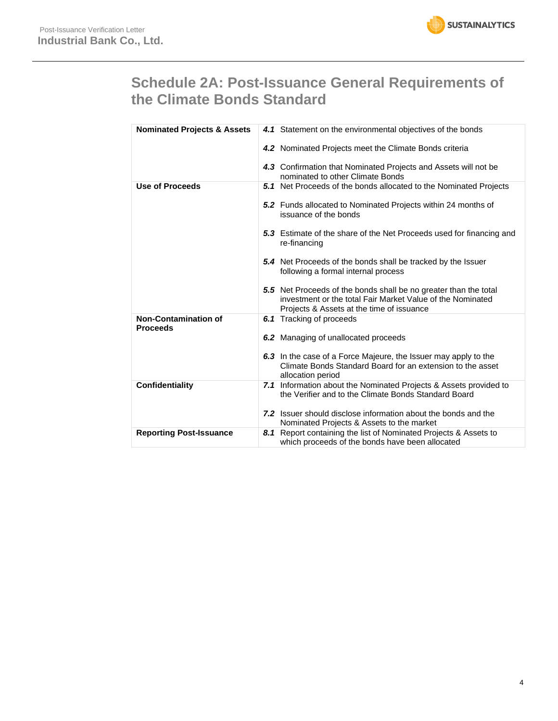

## **Schedule 2A: Post-Issuance General Requirements of the Climate Bonds Standard**

| <b>Nominated Projects &amp; Assets</b>         | 4.1 Statement on the environmental objectives of the bonds                                                                                                                  |
|------------------------------------------------|-----------------------------------------------------------------------------------------------------------------------------------------------------------------------------|
|                                                | 4.2 Nominated Projects meet the Climate Bonds criteria                                                                                                                      |
|                                                | 4.3 Confirmation that Nominated Projects and Assets will not be<br>nominated to other Climate Bonds                                                                         |
| <b>Use of Proceeds</b>                         | <b>5.1</b> Net Proceeds of the bonds allocated to the Nominated Projects                                                                                                    |
|                                                | 5.2 Funds allocated to Nominated Projects within 24 months of<br>issuance of the bonds                                                                                      |
|                                                | 5.3 Estimate of the share of the Net Proceeds used for financing and<br>re-financing                                                                                        |
|                                                | <b>5.4</b> Net Proceeds of the bonds shall be tracked by the Issuer<br>following a formal internal process                                                                  |
|                                                | 5.5 Net Proceeds of the bonds shall be no greater than the total<br>investment or the total Fair Market Value of the Nominated<br>Projects & Assets at the time of issuance |
| <b>Non-Contamination of</b><br><b>Proceeds</b> | <b>6.1</b> Tracking of proceeds                                                                                                                                             |
|                                                | 6.2 Managing of unallocated proceeds                                                                                                                                        |
|                                                | 6.3 In the case of a Force Majeure, the Issuer may apply to the<br>Climate Bonds Standard Board for an extension to the asset<br>allocation period                          |
| <b>Confidentiality</b>                         | 7.1 Information about the Nominated Projects & Assets provided to<br>the Verifier and to the Climate Bonds Standard Board                                                   |
|                                                | <b>7.2</b> Issuer should disclose information about the bonds and the<br>Nominated Projects & Assets to the market                                                          |
| <b>Reporting Post-Issuance</b>                 | 8.1 Report containing the list of Nominated Projects & Assets to<br>which proceeds of the bonds have been allocated                                                         |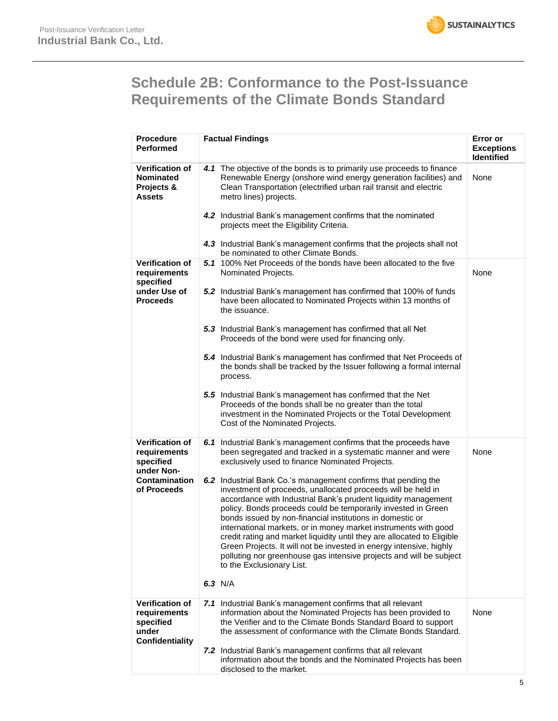

## **Schedule 2B: Conformance to the Post-Issuance Requirements of the Climate Bonds Standard**

| <b>Procedure</b><br><b>Performed</b>                                            | <b>Factual Findings</b>                                                                                                                                                                                                                                                                                                                                                                                                                                                                                                                                                                                                                                 | Error or<br><b>Exceptions</b><br><b>Identified</b> |
|---------------------------------------------------------------------------------|---------------------------------------------------------------------------------------------------------------------------------------------------------------------------------------------------------------------------------------------------------------------------------------------------------------------------------------------------------------------------------------------------------------------------------------------------------------------------------------------------------------------------------------------------------------------------------------------------------------------------------------------------------|----------------------------------------------------|
| <b>Verification of</b><br>Nominated<br>Projects &<br>Assets                     | 4.1 The objective of the bonds is to primarily use proceeds to finance<br>Renewable Energy (onshore wind energy generation facilities) and<br>Clean Transportation (electrified urban rail transit and electric<br>metro lines) projects.                                                                                                                                                                                                                                                                                                                                                                                                               | None                                               |
|                                                                                 | 4.2 Industrial Bank's management confirms that the nominated<br>projects meet the Eligibility Criteria.                                                                                                                                                                                                                                                                                                                                                                                                                                                                                                                                                 |                                                    |
|                                                                                 | 4.3 Industrial Bank's management confirms that the projects shall not<br>be nominated to other Climate Bonds.                                                                                                                                                                                                                                                                                                                                                                                                                                                                                                                                           |                                                    |
| <b>Verification of</b><br>requirements<br>specified                             | 5.1 100% Net Proceeds of the bonds have been allocated to the five<br>Nominated Projects.                                                                                                                                                                                                                                                                                                                                                                                                                                                                                                                                                               | None                                               |
| under Use of<br><b>Proceeds</b>                                                 | 5.2 Industrial Bank's management has confirmed that 100% of funds<br>have been allocated to Nominated Projects within 13 months of<br>the issuance.                                                                                                                                                                                                                                                                                                                                                                                                                                                                                                     |                                                    |
|                                                                                 | 5.3 Industrial Bank's management has confirmed that all Net<br>Proceeds of the bond were used for financing only.                                                                                                                                                                                                                                                                                                                                                                                                                                                                                                                                       |                                                    |
|                                                                                 | 5.4 Industrial Bank's management has confirmed that Net Proceeds of<br>the bonds shall be tracked by the Issuer following a formal internal<br>process.                                                                                                                                                                                                                                                                                                                                                                                                                                                                                                 |                                                    |
|                                                                                 | 5.5 Industrial Bank's management has confirmed that the Net<br>Proceeds of the bonds shall be no greater than the total<br>investment in the Nominated Projects or the Total Development<br>Cost of the Nominated Projects.                                                                                                                                                                                                                                                                                                                                                                                                                             |                                                    |
| <b>Verification of</b><br>requirements<br>specified<br>under Non-               | 6.1 Industrial Bank's management confirms that the proceeds have<br>been segregated and tracked in a systematic manner and were<br>exclusively used to finance Nominated Projects.                                                                                                                                                                                                                                                                                                                                                                                                                                                                      | None                                               |
| <b>Contamination</b><br>of Proceeds                                             | 6.2 Industrial Bank Co.'s management confirms that pending the<br>investment of proceeds, unallocated proceeds will be held in<br>accordance with Industrial Bank's prudent liquidity management<br>policy. Bonds proceeds could be temporarily invested in Green<br>bonds issued by non-financial institutions in domestic or<br>international markets, or in money market instruments with good<br>credit rating and market liquidity until they are allocated to Eligible<br>Green Projects. It will not be invested in energy intensive, highly<br>polluting nor greenhouse gas intensive projects and will be subject<br>to the Exclusionary List. |                                                    |
|                                                                                 | 6.3 $N/A$                                                                                                                                                                                                                                                                                                                                                                                                                                                                                                                                                                                                                                               |                                                    |
| <b>Verification of</b><br>requirements<br>specified<br>under<br>Confidentiality | 7.1 Industrial Bank's management confirms that all relevant<br>information about the Nominated Projects has been provided to<br>the Verifier and to the Climate Bonds Standard Board to support<br>the assessment of conformance with the Climate Bonds Standard.                                                                                                                                                                                                                                                                                                                                                                                       | None                                               |
|                                                                                 | 7.2 Industrial Bank's management confirms that all relevant<br>information about the bonds and the Nominated Projects has been<br>disclosed to the market.                                                                                                                                                                                                                                                                                                                                                                                                                                                                                              |                                                    |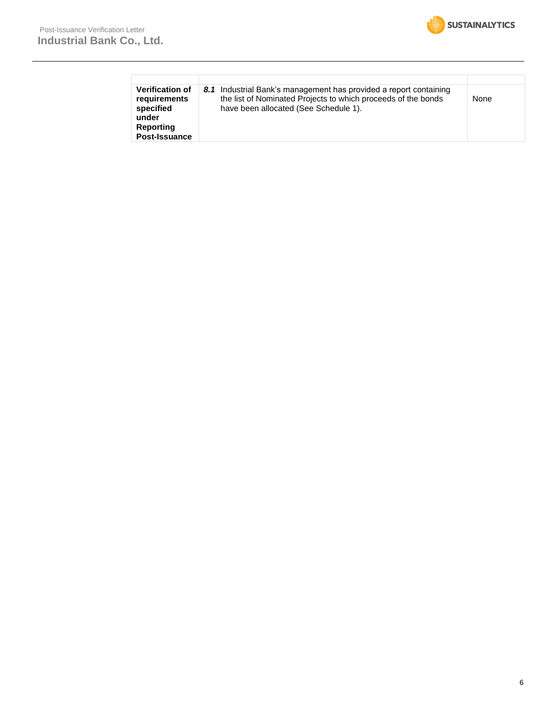| <b>Verification of</b><br>requirements<br>specified<br>under<br>Reporting<br>Post-Issuance | 8.1 Industrial Bank's management has provided a report containing<br>the list of Nominated Projects to which proceeds of the bonds<br>have been allocated (See Schedule 1). | None |
|--------------------------------------------------------------------------------------------|-----------------------------------------------------------------------------------------------------------------------------------------------------------------------------|------|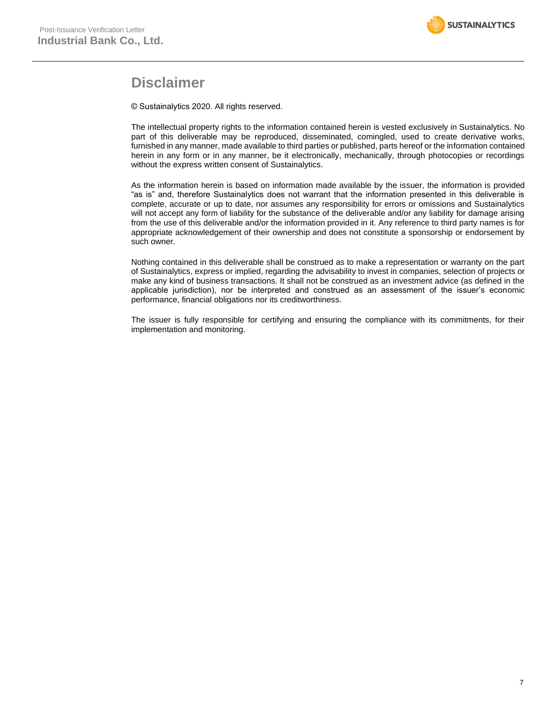

### **Disclaimer**

© Sustainalytics 2020. All rights reserved.

The intellectual property rights to the information contained herein is vested exclusively in Sustainalytics. No part of this deliverable may be reproduced, disseminated, comingled, used to create derivative works, furnished in any manner, made available to third parties or published, parts hereof or the information contained herein in any form or in any manner, be it electronically, mechanically, through photocopies or recordings without the express written consent of Sustainalytics.

As the information herein is based on information made available by the issuer, the information is provided "as is" and, therefore Sustainalytics does not warrant that the information presented in this deliverable is complete, accurate or up to date, nor assumes any responsibility for errors or omissions and Sustainalytics will not accept any form of liability for the substance of the deliverable and/or any liability for damage arising from the use of this deliverable and/or the information provided in it. Any reference to third party names is for appropriate acknowledgement of their ownership and does not constitute a sponsorship or endorsement by such owner.

Nothing contained in this deliverable shall be construed as to make a representation or warranty on the part of Sustainalytics, express or implied, regarding the advisability to invest in companies, selection of projects or make any kind of business transactions. It shall not be construed as an investment advice (as defined in the applicable jurisdiction), nor be interpreted and construed as an assessment of the issuer's economic performance, financial obligations nor its creditworthiness.

The issuer is fully responsible for certifying and ensuring the compliance with its commitments, for their implementation and monitoring.